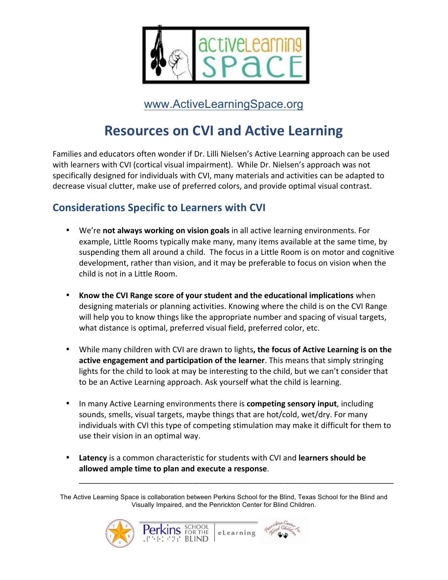

www.ActiveLearningSpace.org

## **Resources on CVI and Active Learning**

Families and educators often wonder if Dr. Lilli Nielsen's Active Learning approach can be used with learners with CVI (cortical visual impairment). While Dr. Nielsen's approach was not specifically designed for individuals with CVI, many materials and activities can be adapted to decrease visual clutter, make use of preferred colors, and provide optimal visual contrast.

## **Considerations Specific to Learners with CVI**

- We're **not always working on vision goals** in all active learning environments. For example, Little Rooms typically make many, many items available at the same time, by suspending them all around a child. The focus in a Little Room is on motor and cognitive development, rather than vision, and it may be preferable to focus on vision when the child is not in a Little Room.
- **Know the CVI Range score of your student and the educational implications** when designing materials or planning activities. Knowing where the child is on the CVI Range will help you to know things like the appropriate number and spacing of visual targets, what distance is optimal, preferred visual field, preferred color, etc.
- While many children with CVI are drawn to lights, the focus of Active Learning is on the **active engagement and participation of the learner**. This means that simply stringing lights for the child to look at may be interesting to the child, but we can't consider that to be an Active Learning approach. Ask yourself what the child is learning.
- In many Active Learning environments there is **competing sensory input**, including sounds, smells, visual targets, maybe things that are hot/cold, wet/dry. For many individuals with CVI this type of competing stimulation may make it difficult for them to use their vision in an optimal way.
- **Latency** is a common characteristic for students with CVI and **learners should be** allowed ample time to plan and execute a response.

**SCHOOL** 

The Active Learning Space is collaboration between Perkins School for the Blind, Texas School for the Blind and Visually Impaired, and the Penrickton Center for Blind Children.

\_\_\_\_\_\_\_\_\_\_\_\_\_\_\_\_\_\_\_\_\_\_\_\_\_\_\_\_\_\_\_\_\_\_\_\_\_\_\_\_\_\_\_\_\_\_\_\_\_\_\_\_\_\_\_\_\_\_\_\_\_\_\_\_\_\_\_\_\_\_\_\_